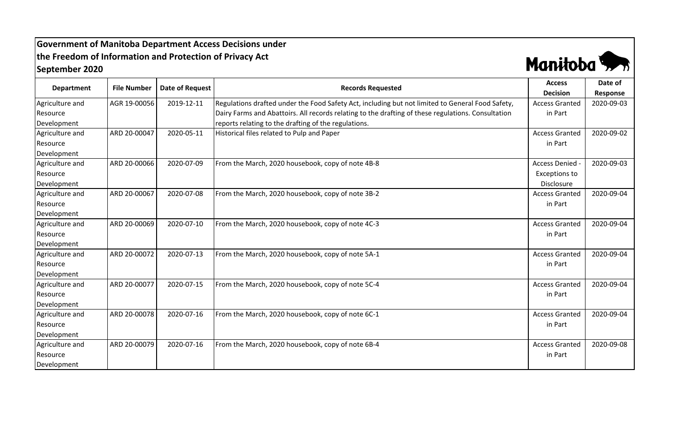## **Government of Manitoba Department Access Decisions under the Freedom of Information and Protection of Privacy Act September 2020**



| <b>Department</b> | <b>File Number</b> | <b>Date of Request</b> | <b>Records Requested</b>                                                                           | <b>Access</b>         | Date of    |
|-------------------|--------------------|------------------------|----------------------------------------------------------------------------------------------------|-----------------------|------------|
|                   |                    |                        |                                                                                                    | <b>Decision</b>       | Response   |
| Agriculture and   | AGR 19-00056       | 2019-12-11             | Regulations drafted under the Food Safety Act, including but not limited to General Food Safety,   | <b>Access Granted</b> | 2020-09-03 |
| Resource          |                    |                        | Dairy Farms and Abattoirs. All records relating to the drafting of these regulations. Consultation | in Part               |            |
| Development       |                    |                        | reports relating to the drafting of the regulations.                                               |                       |            |
| Agriculture and   | ARD 20-00047       | 2020-05-11             | Historical files related to Pulp and Paper                                                         | <b>Access Granted</b> | 2020-09-02 |
| Resource          |                    |                        |                                                                                                    | in Part               |            |
| Development       |                    |                        |                                                                                                    |                       |            |
| Agriculture and   | ARD 20-00066       | 2020-07-09             | From the March, 2020 housebook, copy of note 4B-8                                                  | <b>Access Denied</b>  | 2020-09-03 |
| Resource          |                    |                        |                                                                                                    | <b>Exceptions to</b>  |            |
| Development       |                    |                        |                                                                                                    | Disclosure            |            |
| Agriculture and   | ARD 20-00067       | 2020-07-08             | From the March, 2020 housebook, copy of note 3B-2                                                  | <b>Access Granted</b> | 2020-09-04 |
| Resource          |                    |                        |                                                                                                    | in Part               |            |
| Development       |                    |                        |                                                                                                    |                       |            |
| Agriculture and   | ARD 20-00069       | 2020-07-10             | From the March, 2020 housebook, copy of note 4C-3                                                  | <b>Access Granted</b> | 2020-09-04 |
| Resource          |                    |                        |                                                                                                    | in Part               |            |
| Development       |                    |                        |                                                                                                    |                       |            |
| Agriculture and   | ARD 20-00072       | 2020-07-13             | From the March, 2020 housebook, copy of note 5A-1                                                  | <b>Access Granted</b> | 2020-09-04 |
| Resource          |                    |                        |                                                                                                    | in Part               |            |
| Development       |                    |                        |                                                                                                    |                       |            |
| Agriculture and   | ARD 20-00077       | 2020-07-15             | From the March, 2020 housebook, copy of note 5C-4                                                  | <b>Access Granted</b> | 2020-09-04 |
| Resource          |                    |                        |                                                                                                    | in Part               |            |
| Development       |                    |                        |                                                                                                    |                       |            |
| Agriculture and   | ARD 20-00078       | 2020-07-16             | From the March, 2020 housebook, copy of note 6C-1                                                  | <b>Access Granted</b> | 2020-09-04 |
| Resource          |                    |                        |                                                                                                    | in Part               |            |
| Development       |                    |                        |                                                                                                    |                       |            |
| Agriculture and   | ARD 20-00079       | 2020-07-16             | From the March, 2020 housebook, copy of note 6B-4                                                  | <b>Access Granted</b> | 2020-09-08 |
| Resource          |                    |                        |                                                                                                    | in Part               |            |
| Development       |                    |                        |                                                                                                    |                       |            |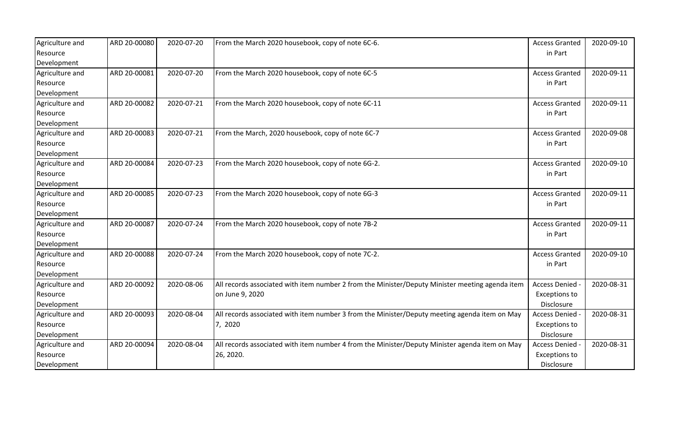| Agriculture and | ARD 20-00080 | 2020-07-20 | From the March 2020 housebook, copy of note 6C-6.                                               | <b>Access Granted</b> | 2020-09-10 |
|-----------------|--------------|------------|-------------------------------------------------------------------------------------------------|-----------------------|------------|
| Resource        |              |            |                                                                                                 | in Part               |            |
| Development     |              |            |                                                                                                 |                       |            |
| Agriculture and | ARD 20-00081 | 2020-07-20 | From the March 2020 housebook, copy of note 6C-5                                                | <b>Access Granted</b> | 2020-09-11 |
| Resource        |              |            |                                                                                                 | in Part               |            |
| Development     |              |            |                                                                                                 |                       |            |
| Agriculture and | ARD 20-00082 | 2020-07-21 | From the March 2020 housebook, copy of note 6C-11                                               | <b>Access Granted</b> | 2020-09-11 |
| Resource        |              |            |                                                                                                 | in Part               |            |
| Development     |              |            |                                                                                                 |                       |            |
| Agriculture and | ARD 20-00083 | 2020-07-21 | From the March, 2020 housebook, copy of note 6C-7                                               | <b>Access Granted</b> | 2020-09-08 |
| Resource        |              |            |                                                                                                 | in Part               |            |
| Development     |              |            |                                                                                                 |                       |            |
| Agriculture and | ARD 20-00084 | 2020-07-23 | From the March 2020 housebook, copy of note 6G-2.                                               | <b>Access Granted</b> | 2020-09-10 |
| Resource        |              |            |                                                                                                 | in Part               |            |
| Development     |              |            |                                                                                                 |                       |            |
| Agriculture and | ARD 20-00085 | 2020-07-23 | From the March 2020 housebook, copy of note 6G-3                                                | <b>Access Granted</b> | 2020-09-11 |
| Resource        |              |            |                                                                                                 | in Part               |            |
| Development     |              |            |                                                                                                 |                       |            |
| Agriculture and | ARD 20-00087 | 2020-07-24 | From the March 2020 housebook, copy of note 7B-2                                                | <b>Access Granted</b> | 2020-09-11 |
| Resource        |              |            |                                                                                                 | in Part               |            |
| Development     |              |            |                                                                                                 |                       |            |
| Agriculture and | ARD 20-00088 | 2020-07-24 | From the March 2020 housebook, copy of note 7C-2.                                               | <b>Access Granted</b> | 2020-09-10 |
| Resource        |              |            |                                                                                                 | in Part               |            |
| Development     |              |            |                                                                                                 |                       |            |
| Agriculture and | ARD 20-00092 | 2020-08-06 | All records associated with item number 2 from the Minister/Deputy Minister meeting agenda item | Access Denied -       | 2020-08-31 |
| Resource        |              |            | on June 9, 2020                                                                                 | <b>Exceptions to</b>  |            |
| Development     |              |            |                                                                                                 | Disclosure            |            |
| Agriculture and | ARD 20-00093 | 2020-08-04 | All records associated with item number 3 from the Minister/Deputy meeting agenda item on May   | Access Denied -       | 2020-08-31 |
| Resource        |              |            | 7, 2020                                                                                         | <b>Exceptions to</b>  |            |
| Development     |              |            |                                                                                                 | Disclosure            |            |
| Agriculture and | ARD 20-00094 | 2020-08-04 | All records associated with item number 4 from the Minister/Deputy Minister agenda item on May  | Access Denied -       | 2020-08-31 |
| Resource        |              |            | 26, 2020.                                                                                       | <b>Exceptions to</b>  |            |
| Development     |              |            |                                                                                                 | Disclosure            |            |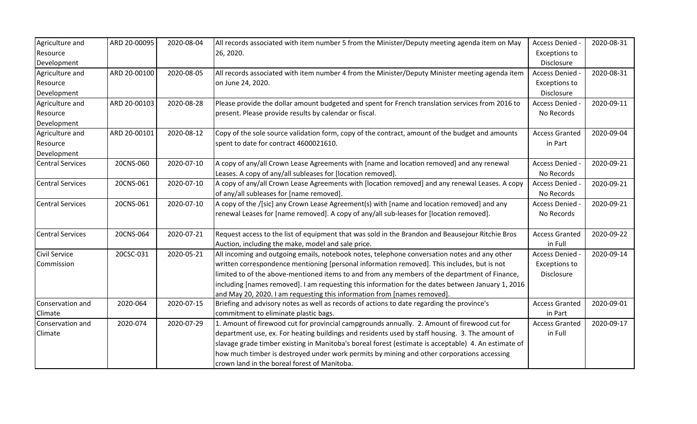| Agriculture and         | ARD 20-00095 | 2020-08-04 | All records associated with item number 5 from the Minister/Deputy meeting agenda item on May        | Access Denied -       | 2020-08-31 |
|-------------------------|--------------|------------|------------------------------------------------------------------------------------------------------|-----------------------|------------|
| Resource                |              |            | 26, 2020.                                                                                            | <b>Exceptions to</b>  |            |
| Development             |              |            |                                                                                                      | Disclosure            |            |
| Agriculture and         | ARD 20-00100 | 2020-08-05 | All records associated with item number 4 from the Minister/Deputy Minister meeting agenda item      | <b>Access Denied</b>  | 2020-08-31 |
| Resource                |              |            | on June 24, 2020.                                                                                    | <b>Exceptions to</b>  |            |
| Development             |              |            |                                                                                                      | Disclosure            |            |
| Agriculture and         | ARD 20-00103 | 2020-08-28 | Please provide the dollar amount budgeted and spent for French translation services from 2016 to     | <b>Access Denied</b>  | 2020-09-11 |
| Resource                |              |            | present. Please provide results by calendar or fiscal.                                               | No Records            |            |
| Development             |              |            |                                                                                                      |                       |            |
| Agriculture and         | ARD 20-00101 | 2020-08-12 | Copy of the sole source validation form, copy of the contract, amount of the budget and amounts      | <b>Access Granted</b> | 2020-09-04 |
| Resource                |              |            | spent to date for contract 4600021610.                                                               | in Part               |            |
| Development             |              |            |                                                                                                      |                       |            |
| <b>Central Services</b> | 20CNS-060    | 2020-07-10 | A copy of any/all Crown Lease Agreements with [name and location removed] and any renewal            | <b>Access Denied</b>  | 2020-09-21 |
|                         |              |            | Leases. A copy of any/all subleases for [location removed].                                          | No Records            |            |
| <b>Central Services</b> | 20CNS-061    | 2020-07-10 | A copy of any/all Crown Lease Agreements with [location removed] and any renewal Leases. A copy      | Access Denied -       | 2020-09-21 |
|                         |              |            | of any/all subleases for [name removed].                                                             | No Records            |            |
| <b>Central Services</b> | 20CNS-061    | 2020-07-10 | A copy of the /[sic] any Crown Lease Agreement(s) with [name and location removed] and any           | <b>Access Denied</b>  | 2020-09-21 |
|                         |              |            | renewal Leases for [name removed]. A copy of any/all sub-leases for [location removed].              | No Records            |            |
| <b>Central Services</b> | 20CNS-064    | 2020-07-21 | Request access to the list of equipment that was sold in the Brandon and Beausejour Ritchie Bros     | <b>Access Granted</b> | 2020-09-22 |
|                         |              |            | Auction, including the make, model and sale price.                                                   | in Full               |            |
| <b>Civil Service</b>    | 20CSC-031    | 2020-05-21 | All incoming and outgoing emails, notebook notes, telephone conversation notes and any other         | <b>Access Denied</b>  | 2020-09-14 |
| Commission              |              |            | written correspondence mentioning [personal information removed]. This includes, but is not          | <b>Exceptions to</b>  |            |
|                         |              |            | limited to of the above-mentioned items to and from any members of the department of Finance,        | Disclosure            |            |
|                         |              |            | including [names removed]. I am requesting this information for the dates between January 1, 2016    |                       |            |
|                         |              |            | and May 20, 2020. I am requesting this information from [names removed].                             |                       |            |
| Conservation and        | 2020-064     | 2020-07-15 | Briefing and advisory notes as well as records of actions to date regarding the province's           | <b>Access Granted</b> | 2020-09-01 |
| Climate                 |              |            | commitment to eliminate plastic bags.                                                                | in Part               |            |
| Conservation and        | 2020-074     | 2020-07-29 | 1. Amount of firewood cut for provincial campgrounds annually. 2. Amount of firewood cut for         | <b>Access Granted</b> | 2020-09-17 |
| Climate                 |              |            | department use, ex. For heating buildings and residents used by staff housing. 3. The amount of      | in Full               |            |
|                         |              |            | slavage grade timber existing in Manitoba's boreal forest (estimate is acceptable) 4. An estimate of |                       |            |
|                         |              |            | how much timber is destroyed under work permits by mining and other corporations accessing           |                       |            |
|                         |              |            | crown land in the boreal forest of Manitoba.                                                         |                       |            |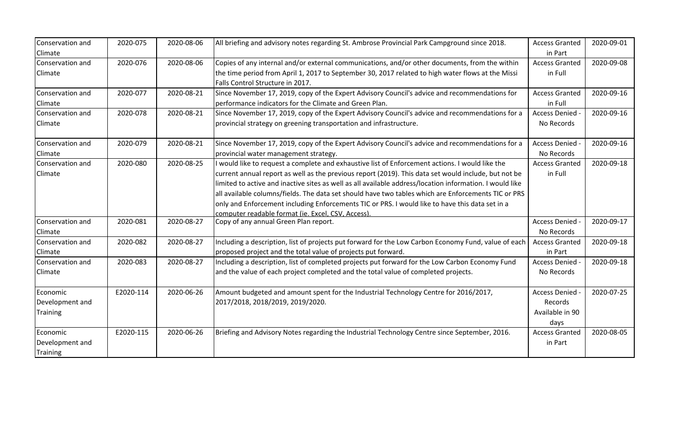| Conservation and<br>Climate | 2020-075  | 2020-08-06 | All briefing and advisory notes regarding St. Ambrose Provincial Park Campground since 2018.                                                                                                        | <b>Access Granted</b><br>in Part | 2020-09-01 |
|-----------------------------|-----------|------------|-----------------------------------------------------------------------------------------------------------------------------------------------------------------------------------------------------|----------------------------------|------------|
| Conservation and<br>Climate | 2020-076  | 2020-08-06 | Copies of any internal and/or external communications, and/or other documents, from the within<br>the time period from April 1, 2017 to September 30, 2017 related to high water flows at the Missi | <b>Access Granted</b><br>in Full | 2020-09-08 |
|                             |           |            | Falls Control Structure in 2017.                                                                                                                                                                    |                                  |            |
| Conservation and            | 2020-077  | 2020-08-21 | Since November 17, 2019, copy of the Expert Advisory Council's advice and recommendations for                                                                                                       | <b>Access Granted</b>            | 2020-09-16 |
| Climate                     |           |            | performance indicators for the Climate and Green Plan.                                                                                                                                              | in Full                          |            |
| Conservation and            | 2020-078  | 2020-08-21 | Since November 17, 2019, copy of the Expert Advisory Council's advice and recommendations for a                                                                                                     | Access Denied -                  | 2020-09-16 |
| Climate                     |           |            | provincial strategy on greening transportation and infrastructure.                                                                                                                                  | No Records                       |            |
| Conservation and            | 2020-079  | 2020-08-21 | Since November 17, 2019, copy of the Expert Advisory Council's advice and recommendations for a                                                                                                     | Access Denied -                  | 2020-09-16 |
| Climate                     |           |            | provincial water management strategy.                                                                                                                                                               | No Records                       |            |
| Conservation and            | 2020-080  | 2020-08-25 | I would like to request a complete and exhaustive list of Enforcement actions. I would like the                                                                                                     | <b>Access Granted</b>            | 2020-09-18 |
| Climate                     |           |            | current annual report as well as the previous report (2019). This data set would include, but not be                                                                                                | in Full                          |            |
|                             |           |            | limited to active and inactive sites as well as all available address/location information. I would like                                                                                            |                                  |            |
|                             |           |            | all available columns/fields. The data set should have two tables which are Enforcements TIC or PRS                                                                                                 |                                  |            |
|                             |           |            | only and Enforcement including Enforcements TIC or PRS. I would like to have this data set in a                                                                                                     |                                  |            |
|                             |           |            | computer readable format (ie. Excel. CSV. Access).                                                                                                                                                  |                                  |            |
| Conservation and            | 2020-081  | 2020-08-27 | Copy of any annual Green Plan report.                                                                                                                                                               | Access Denied -                  | 2020-09-17 |
| Climate                     |           |            |                                                                                                                                                                                                     | No Records                       |            |
| Conservation and            | 2020-082  | 2020-08-27 | Including a description, list of projects put forward for the Low Carbon Economy Fund, value of each                                                                                                | <b>Access Granted</b>            | 2020-09-18 |
| Climate                     |           |            | proposed project and the total value of projects put forward.                                                                                                                                       | in Part                          |            |
| Conservation and            | 2020-083  | 2020-08-27 | Including a description, list of completed projects put forward for the Low Carbon Economy Fund                                                                                                     | Access Denied -                  | 2020-09-18 |
| Climate                     |           |            | and the value of each project completed and the total value of completed projects.                                                                                                                  | No Records                       |            |
| Economic                    | E2020-114 | 2020-06-26 | Amount budgeted and amount spent for the Industrial Technology Centre for 2016/2017,                                                                                                                | <b>Access Denied</b>             | 2020-07-25 |
| Development and             |           |            | 2017/2018, 2018/2019, 2019/2020.                                                                                                                                                                    | Records                          |            |
| <b>Training</b>             |           |            |                                                                                                                                                                                                     | Available in 90                  |            |
|                             |           |            |                                                                                                                                                                                                     | days                             |            |
| Economic                    | E2020-115 | 2020-06-26 | Briefing and Advisory Notes regarding the Industrial Technology Centre since September, 2016.                                                                                                       | <b>Access Granted</b>            | 2020-08-05 |
| Development and             |           |            |                                                                                                                                                                                                     | in Part                          |            |
| Training                    |           |            |                                                                                                                                                                                                     |                                  |            |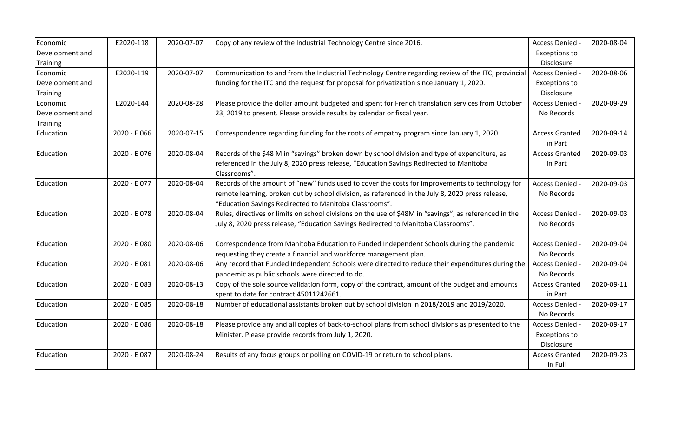| Economic        | E2020-118    | 2020-07-07 | Copy of any review of the Industrial Technology Centre since 2016.                                     | Access Denied -       | 2020-08-04 |
|-----------------|--------------|------------|--------------------------------------------------------------------------------------------------------|-----------------------|------------|
| Development and |              |            |                                                                                                        | <b>Exceptions to</b>  |            |
| <b>Training</b> |              |            |                                                                                                        | Disclosure            |            |
| Economic        | E2020-119    | 2020-07-07 | Communication to and from the Industrial Technology Centre regarding review of the ITC, provincial     | Access Denied         | 2020-08-06 |
| Development and |              |            | funding for the ITC and the request for proposal for privatization since January 1, 2020.              | <b>Exceptions to</b>  |            |
| Training        |              |            |                                                                                                        | Disclosure            |            |
| Economic        | E2020-144    | 2020-08-28 | Please provide the dollar amount budgeted and spent for French translation services from October       | <b>Access Denied</b>  | 2020-09-29 |
| Development and |              |            | 23, 2019 to present. Please provide results by calendar or fiscal year.                                | No Records            |            |
| <b>Training</b> |              |            |                                                                                                        |                       |            |
| Education       | 2020 - E 066 | 2020-07-15 | Correspondence regarding funding for the roots of empathy program since January 1, 2020.               | <b>Access Granted</b> | 2020-09-14 |
|                 |              |            |                                                                                                        | in Part               |            |
| Education       | 2020 - E076  | 2020-08-04 | Records of the \$48 M in "savings" broken down by school division and type of expenditure, as          | <b>Access Granted</b> | 2020-09-03 |
|                 |              |            | referenced in the July 8, 2020 press release, "Education Savings Redirected to Manitoba                | in Part               |            |
|                 |              |            | Classrooms".                                                                                           |                       |            |
| Education       | 2020 - E077  | 2020-08-04 | Records of the amount of "new" funds used to cover the costs for improvements to technology for        | Access Denied         | 2020-09-03 |
|                 |              |            | remote learning, broken out by school division, as referenced in the July 8, 2020 press release,       | No Records            |            |
|                 |              |            | "Education Savings Redirected to Manitoba Classrooms".                                                 |                       |            |
| Education       | 2020 - E078  | 2020-08-04 | Rules, directives or limits on school divisions on the use of \$48M in "savings", as referenced in the | Access Denied         | 2020-09-03 |
|                 |              |            | July 8, 2020 press release, "Education Savings Redirected to Manitoba Classrooms".                     | No Records            |            |
|                 |              |            |                                                                                                        |                       |            |
| Education       | 2020 - E 080 | 2020-08-06 | Correspondence from Manitoba Education to Funded Independent Schools during the pandemic               | <b>Access Denied</b>  | 2020-09-04 |
|                 |              |            | requesting they create a financial and workforce management plan.                                      | No Records            |            |
| Education       | 2020 - E 081 | 2020-08-06 | Any record that Funded Independent Schools were directed to reduce their expenditures during the       | Access Denied -       | 2020-09-04 |
|                 |              |            | pandemic as public schools were directed to do.                                                        | No Records            |            |
| Education       | 2020 - E083  | 2020-08-13 | Copy of the sole source validation form, copy of the contract, amount of the budget and amounts        | <b>Access Granted</b> | 2020-09-11 |
|                 |              |            | spent to date for contract 45011242661.                                                                | in Part               |            |
| Education       | 2020 - E 085 | 2020-08-18 | Number of educational assistants broken out by school division in 2018/2019 and 2019/2020.             | Access Denied -       | 2020-09-17 |
|                 |              |            |                                                                                                        | No Records            |            |
| Education       | 2020 - E086  | 2020-08-18 | Please provide any and all copies of back-to-school plans from school divisions as presented to the    | Access Denied         | 2020-09-17 |
|                 |              |            | Minister. Please provide records from July 1, 2020.                                                    | <b>Exceptions to</b>  |            |
|                 |              |            |                                                                                                        | Disclosure            |            |
| Education       | 2020 - E087  | 2020-08-24 | Results of any focus groups or polling on COVID-19 or return to school plans.                          | <b>Access Granted</b> | 2020-09-23 |
|                 |              |            |                                                                                                        | in Full               |            |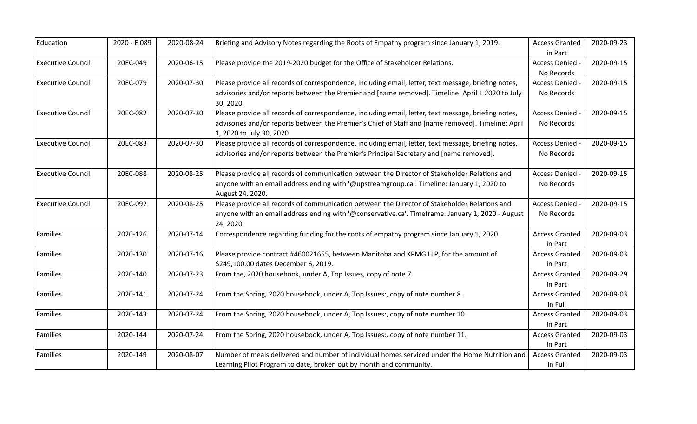| Education                | 2020 - E089 | 2020-08-24 | Briefing and Advisory Notes regarding the Roots of Empathy program since January 1, 2019.                                       | <b>Access Granted</b> | 2020-09-23 |
|--------------------------|-------------|------------|---------------------------------------------------------------------------------------------------------------------------------|-----------------------|------------|
|                          |             |            |                                                                                                                                 | in Part               |            |
| <b>Executive Council</b> | 20EC-049    | 2020-06-15 | Please provide the 2019-2020 budget for the Office of Stakeholder Relations.                                                    | Access Denied -       | 2020-09-15 |
|                          |             |            |                                                                                                                                 | No Records            |            |
| <b>Executive Council</b> | 20EC-079    | 2020-07-30 | Please provide all records of correspondence, including email, letter, text message, briefing notes,                            | Access Denied -       | 2020-09-15 |
|                          |             |            | advisories and/or reports between the Premier and [name removed]. Timeline: April 1 2020 to July<br>30, 2020.                   | No Records            |            |
| <b>Executive Council</b> | 20EC-082    | 2020-07-30 | Please provide all records of correspondence, including email, letter, text message, briefing notes,                            | Access Denied         | 2020-09-15 |
|                          |             |            | advisories and/or reports between the Premier's Chief of Staff and [name removed]. Timeline: April<br>1, 2020 to July 30, 2020. | No Records            |            |
| <b>Executive Council</b> | 20EC-083    | 2020-07-30 | Please provide all records of correspondence, including email, letter, text message, briefing notes,                            | Access Denied -       | 2020-09-15 |
|                          |             |            | advisories and/or reports between the Premier's Principal Secretary and [name removed].                                         | No Records            |            |
| <b>Executive Council</b> | 20EC-088    | 2020-08-25 | Please provide all records of communication between the Director of Stakeholder Relations and                                   | Access Denied         | 2020-09-15 |
|                          |             |            | anyone with an email address ending with '@upstreamgroup.ca'. Timeline: January 1, 2020 to<br>August 24, 2020.                  | No Records            |            |
| <b>Executive Council</b> | 20EC-092    | 2020-08-25 | Please provide all records of communication between the Director of Stakeholder Relations and                                   | Access Denied -       | 2020-09-15 |
|                          |             |            | anyone with an email address ending with '@conservative.ca'. Timeframe: January 1, 2020 - August<br>24, 2020.                   | No Records            |            |
| Families                 | 2020-126    | 2020-07-14 | Correspondence regarding funding for the roots of empathy program since January 1, 2020.                                        | <b>Access Granted</b> | 2020-09-03 |
|                          |             |            |                                                                                                                                 | in Part               |            |
| Families                 | 2020-130    | 2020-07-16 | Please provide contract #460021655, between Manitoba and KPMG LLP, for the amount of                                            | <b>Access Granted</b> | 2020-09-03 |
|                          |             |            | \$249,100.00 dates December 6, 2019.                                                                                            | in Part               |            |
| Families                 | 2020-140    | 2020-07-23 | From the, 2020 housebook, under A, Top Issues, copy of note 7.                                                                  | <b>Access Granted</b> | 2020-09-29 |
|                          |             |            |                                                                                                                                 | in Part               |            |
| Families                 | 2020-141    | 2020-07-24 | From the Spring, 2020 housebook, under A, Top Issues:, copy of note number 8.                                                   | <b>Access Granted</b> | 2020-09-03 |
|                          |             |            |                                                                                                                                 | in Full               |            |
| Families                 | 2020-143    | 2020-07-24 | From the Spring, 2020 housebook, under A, Top Issues:, copy of note number 10.                                                  | <b>Access Granted</b> | 2020-09-03 |
|                          |             |            |                                                                                                                                 | in Part               |            |
| Families                 | 2020-144    | 2020-07-24 | From the Spring, 2020 housebook, under A, Top Issues:, copy of note number 11.                                                  | <b>Access Granted</b> | 2020-09-03 |
|                          |             |            |                                                                                                                                 | in Part               |            |
| Families                 | 2020-149    | 2020-08-07 | Number of meals delivered and number of individual homes serviced under the Home Nutrition and                                  | <b>Access Granted</b> | 2020-09-03 |
|                          |             |            | Learning Pilot Program to date, broken out by month and community.                                                              | in Full               |            |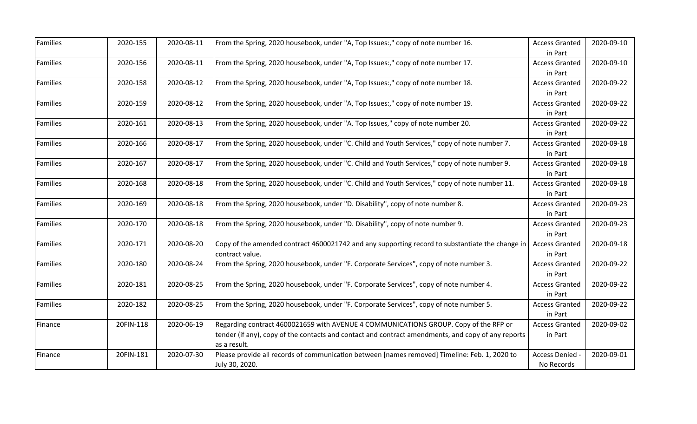| Families        | 2020-155  | 2020-08-11 | From the Spring, 2020 housebook, under "A, Top Issues:," copy of note number 16.                   | <b>Access Granted</b> | 2020-09-10 |
|-----------------|-----------|------------|----------------------------------------------------------------------------------------------------|-----------------------|------------|
|                 |           |            |                                                                                                    | in Part               |            |
| <b>Families</b> | 2020-156  | 2020-08-11 | From the Spring, 2020 housebook, under "A, Top Issues:," copy of note number 17.                   | <b>Access Granted</b> | 2020-09-10 |
|                 |           |            |                                                                                                    | in Part               |            |
| Families        | 2020-158  | 2020-08-12 | From the Spring, 2020 housebook, under "A, Top Issues:," copy of note number 18.                   | <b>Access Granted</b> | 2020-09-22 |
|                 |           |            |                                                                                                    | in Part               |            |
| Families        | 2020-159  | 2020-08-12 | From the Spring, 2020 housebook, under "A, Top Issues:," copy of note number 19.                   | <b>Access Granted</b> | 2020-09-22 |
|                 |           |            |                                                                                                    | in Part               |            |
| Families        | 2020-161  | 2020-08-13 | From the Spring, 2020 housebook, under "A. Top Issues," copy of note number 20.                    | <b>Access Granted</b> | 2020-09-22 |
|                 |           |            |                                                                                                    | in Part               |            |
| <b>Families</b> | 2020-166  | 2020-08-17 | From the Spring, 2020 housebook, under "C. Child and Youth Services," copy of note number 7.       | <b>Access Granted</b> | 2020-09-18 |
|                 |           |            |                                                                                                    | in Part               |            |
| Families        | 2020-167  | 2020-08-17 | From the Spring, 2020 housebook, under "C. Child and Youth Services," copy of note number 9.       | <b>Access Granted</b> | 2020-09-18 |
|                 |           |            |                                                                                                    | in Part               |            |
| Families        | 2020-168  | 2020-08-18 | From the Spring, 2020 housebook, under "C. Child and Youth Services," copy of note number 11.      | <b>Access Granted</b> | 2020-09-18 |
|                 |           |            |                                                                                                    | in Part               |            |
| Families        | 2020-169  | 2020-08-18 | From the Spring, 2020 housebook, under "D. Disability", copy of note number 8.                     | <b>Access Granted</b> | 2020-09-23 |
|                 |           |            |                                                                                                    | in Part               |            |
| <b>Families</b> | 2020-170  | 2020-08-18 | From the Spring, 2020 housebook, under "D. Disability", copy of note number 9.                     | <b>Access Granted</b> | 2020-09-23 |
|                 |           |            |                                                                                                    | in Part               |            |
| Families        | 2020-171  | 2020-08-20 | Copy of the amended contract 4600021742 and any supporting record to substantiate the change in    | <b>Access Granted</b> | 2020-09-18 |
|                 |           |            | contract value.                                                                                    | in Part               |            |
| Families        | 2020-180  | 2020-08-24 | From the Spring, 2020 housebook, under "F. Corporate Services", copy of note number 3.             | <b>Access Granted</b> | 2020-09-22 |
|                 |           |            |                                                                                                    | in Part               |            |
| Families        | 2020-181  | 2020-08-25 | From the Spring, 2020 housebook, under "F. Corporate Services", copy of note number 4.             | <b>Access Granted</b> | 2020-09-22 |
|                 |           |            |                                                                                                    | in Part               |            |
| Families        | 2020-182  | 2020-08-25 | From the Spring, 2020 housebook, under "F. Corporate Services", copy of note number 5.             | <b>Access Granted</b> | 2020-09-22 |
|                 |           |            |                                                                                                    | in Part               |            |
| Finance         | 20FIN-118 | 2020-06-19 | Regarding contract 4600021659 with AVENUE 4 COMMUNICATIONS GROUP. Copy of the RFP or               | <b>Access Granted</b> | 2020-09-02 |
|                 |           |            | tender (if any), copy of the contacts and contact and contract amendments, and copy of any reports | in Part               |            |
|                 |           |            | as a result.                                                                                       |                       |            |
| Finance         | 20FIN-181 | 2020-07-30 | Please provide all records of communication between [names removed] Timeline: Feb. 1, 2020 to      | <b>Access Denied</b>  | 2020-09-01 |
|                 |           |            | July 30, 2020.                                                                                     | No Records            |            |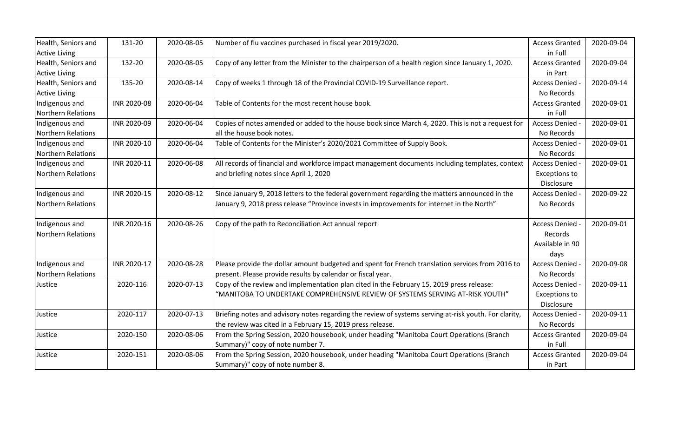| Health, Seniors and       | 131-20      | 2020-08-05 | Number of flu vaccines purchased in fiscal year 2019/2020.                                            | <b>Access Granted</b> | 2020-09-04 |
|---------------------------|-------------|------------|-------------------------------------------------------------------------------------------------------|-----------------------|------------|
| <b>Active Living</b>      |             |            |                                                                                                       | in Full               |            |
| Health, Seniors and       | 132-20      | 2020-08-05 | Copy of any letter from the Minister to the chairperson of a health region since January 1, 2020.     | <b>Access Granted</b> | 2020-09-04 |
| <b>Active Living</b>      |             |            |                                                                                                       | in Part               |            |
| Health, Seniors and       | 135-20      | 2020-08-14 | Copy of weeks 1 through 18 of the Provincial COVID-19 Surveillance report.                            | Access Denied -       | 2020-09-14 |
| <b>Active Living</b>      |             |            |                                                                                                       | No Records            |            |
| Indigenous and            | INR 2020-08 | 2020-06-04 | Table of Contents for the most recent house book.                                                     | <b>Access Granted</b> | 2020-09-01 |
| <b>Northern Relations</b> |             |            |                                                                                                       | in Full               |            |
| Indigenous and            | INR 2020-09 | 2020-06-04 | Copies of notes amended or added to the house book since March 4, 2020. This is not a request for     | Access Denied -       | 2020-09-01 |
| Northern Relations        |             |            | all the house book notes.                                                                             | No Records            |            |
| Indigenous and            | INR 2020-10 | 2020-06-04 | Table of Contents for the Minister's 2020/2021 Committee of Supply Book.                              | Access Denied -       | 2020-09-01 |
| <b>Northern Relations</b> |             |            |                                                                                                       | No Records            |            |
| Indigenous and            | INR 2020-11 | 2020-06-08 | All records of financial and workforce impact management documents including templates, context       | Access Denied -       | 2020-09-01 |
| Northern Relations        |             |            | and briefing notes since April 1, 2020                                                                | <b>Exceptions to</b>  |            |
|                           |             |            |                                                                                                       | Disclosure            |            |
| Indigenous and            | INR 2020-15 | 2020-08-12 | Since January 9, 2018 letters to the federal government regarding the matters announced in the        | Access Denied -       | 2020-09-22 |
| <b>Northern Relations</b> |             |            | January 9, 2018 press release "Province invests in improvements for internet in the North"            | No Records            |            |
|                           |             |            |                                                                                                       |                       |            |
| Indigenous and            | INR 2020-16 | 2020-08-26 | Copy of the path to Reconciliation Act annual report                                                  | Access Denied -       | 2020-09-01 |
| <b>Northern Relations</b> |             |            |                                                                                                       | Records               |            |
|                           |             |            |                                                                                                       | Available in 90       |            |
|                           |             |            |                                                                                                       | days                  |            |
| Indigenous and            | INR 2020-17 | 2020-08-28 | Please provide the dollar amount budgeted and spent for French translation services from 2016 to      | Access Denied -       | 2020-09-08 |
| <b>Northern Relations</b> |             |            | present. Please provide results by calendar or fiscal year.                                           | No Records            |            |
| Justice                   | 2020-116    | 2020-07-13 | Copy of the review and implementation plan cited in the February 15, 2019 press release:              | Access Denied -       | 2020-09-11 |
|                           |             |            | "MANITOBA TO UNDERTAKE COMPREHENSIVE REVIEW OF SYSTEMS SERVING AT-RISK YOUTH"                         | <b>Exceptions to</b>  |            |
|                           |             |            |                                                                                                       | Disclosure            |            |
| Justice                   | 2020-117    | 2020-07-13 | Briefing notes and advisory notes regarding the review of systems serving at-risk youth. For clarity, | Access Denied -       | 2020-09-11 |
|                           |             |            | the review was cited in a February 15, 2019 press release.                                            | No Records            |            |
| Justice                   | 2020-150    | 2020-08-06 | From the Spring Session, 2020 housebook, under heading "Manitoba Court Operations (Branch             | <b>Access Granted</b> | 2020-09-04 |
|                           |             |            | Summary)" copy of note number 7.                                                                      | in Full               |            |
| Justice                   | 2020-151    | 2020-08-06 | From the Spring Session, 2020 housebook, under heading "Manitoba Court Operations (Branch             | <b>Access Granted</b> | 2020-09-04 |
|                           |             |            | Summary)" copy of note number 8.                                                                      | in Part               |            |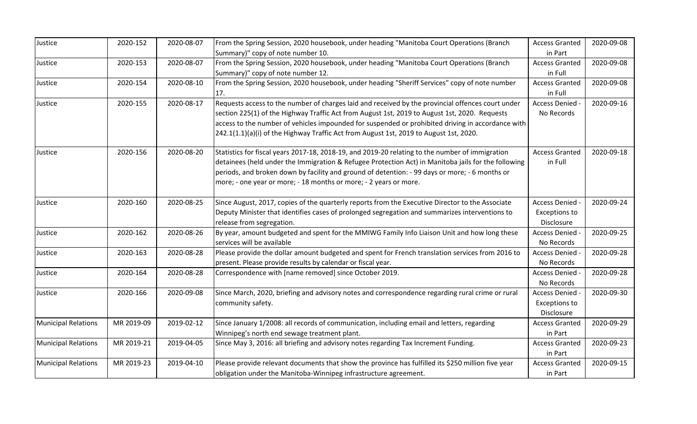| Justice                    | 2020-152   | 2020-08-07 | From the Spring Session, 2020 housebook, under heading "Manitoba Court Operations (Branch           | <b>Access Granted</b> | 2020-09-08 |
|----------------------------|------------|------------|-----------------------------------------------------------------------------------------------------|-----------------------|------------|
|                            |            |            | Summary)" copy of note number 10.                                                                   | in Part               |            |
| Justice                    | 2020-153   | 2020-08-07 | From the Spring Session, 2020 housebook, under heading "Manitoba Court Operations (Branch           | <b>Access Granted</b> | 2020-09-08 |
|                            |            |            | Summary)" copy of note number 12.                                                                   | in Full               |            |
| Justice                    | 2020-154   | 2020-08-10 | From the Spring Session, 2020 housebook, under heading "Sheriff Services" copy of note number       | <b>Access Granted</b> | 2020-09-08 |
|                            |            |            | 17.                                                                                                 | in Full               |            |
| Justice                    | 2020-155   | 2020-08-17 | Requests access to the number of charges laid and received by the provincial offences court under   | Access Denied -       | 2020-09-16 |
|                            |            |            | section 225(1) of the Highway Traffic Act from August 1st, 2019 to August 1st, 2020. Requests       | No Records            |            |
|                            |            |            | access to the number of vehicles impounded for suspended or prohibited driving in accordance with   |                       |            |
|                            |            |            | 242.1(1.1)(a)(i) of the Highway Traffic Act from August 1st, 2019 to August 1st, 2020.              |                       |            |
| Justice                    | 2020-156   | 2020-08-20 | Statistics for fiscal years 2017-18, 2018-19, and 2019-20 relating to the number of immigration     | <b>Access Granted</b> | 2020-09-18 |
|                            |            |            | detainees (held under the Immigration & Refugee Protection Act) in Manitoba jails for the following | in Full               |            |
|                            |            |            | periods, and broken down by facility and ground of detention: - 99 days or more; - 6 months or      |                       |            |
|                            |            |            | more; - one year or more; - 18 months or more; - 2 years or more.                                   |                       |            |
| Justice                    | 2020-160   | 2020-08-25 | Since August, 2017, copies of the quarterly reports from the Executive Director to the Associate    | Access Denied -       | 2020-09-24 |
|                            |            |            | Deputy Minister that identifies cases of prolonged segregation and summarizes interventions to      | <b>Exceptions to</b>  |            |
|                            |            |            | release from segregation.                                                                           | Disclosure            |            |
| Justice                    | 2020-162   | 2020-08-26 | By year, amount budgeted and spent for the MMIWG Family Info Liaison Unit and how long these        | Access Denied -       | 2020-09-25 |
|                            |            |            | services will be available                                                                          | No Records            |            |
| Justice                    | 2020-163   | 2020-08-28 | Please provide the dollar amount budgeted and spent for French translation services from 2016 to    | Access Denied -       | 2020-09-28 |
|                            |            |            | present. Please provide results by calendar or fiscal year.                                         | No Records            |            |
| Justice                    | 2020-164   | 2020-08-28 | Correspondence with [name removed] since October 2019.                                              | Access Denied -       | 2020-09-28 |
|                            |            |            |                                                                                                     | No Records            |            |
| Justice                    | 2020-166   | 2020-09-08 | Since March, 2020, briefing and advisory notes and correspondence regarding rural crime or rural    | Access Denied -       | 2020-09-30 |
|                            |            |            | community safety.                                                                                   | <b>Exceptions to</b>  |            |
|                            |            |            |                                                                                                     | Disclosure            |            |
| <b>Municipal Relations</b> | MR 2019-09 | 2019-02-12 | Since January 1/2008: all records of communication, including email and letters, regarding          | <b>Access Granted</b> | 2020-09-29 |
|                            |            |            | Winnipeg's north end sewage treatment plant.                                                        | in Part               |            |
| <b>Municipal Relations</b> | MR 2019-21 | 2019-04-05 | Since May 3, 2016: all briefing and advisory notes regarding Tax Increment Funding.                 | <b>Access Granted</b> | 2020-09-23 |
|                            |            |            |                                                                                                     | in Part               |            |
| <b>Municipal Relations</b> | MR 2019-23 | 2019-04-10 | Please provide relevant documents that show the province has fulfilled its \$250 million five year  | <b>Access Granted</b> | 2020-09-15 |
|                            |            |            | obligation under the Manitoba-Winnipeg infrastructure agreement.                                    | in Part               |            |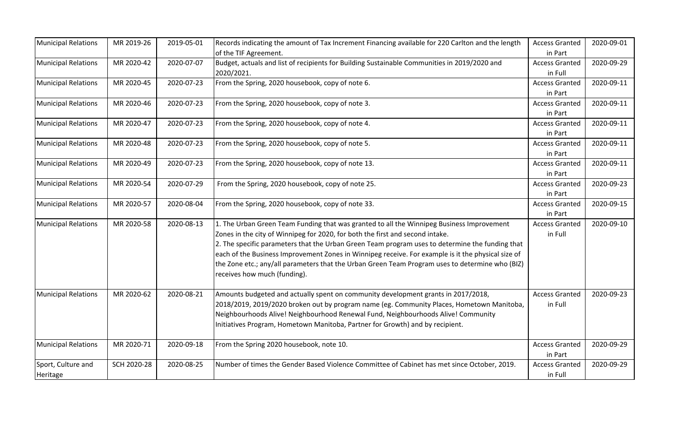| <b>Municipal Relations</b> | MR 2019-26  | 2019-05-01 | Records indicating the amount of Tax Increment Financing available for 220 Carlton and the length  | <b>Access Granted</b> | 2020-09-01 |
|----------------------------|-------------|------------|----------------------------------------------------------------------------------------------------|-----------------------|------------|
|                            |             |            | of the TIF Agreement.                                                                              | in Part               |            |
| <b>Municipal Relations</b> | MR 2020-42  | 2020-07-07 | Budget, actuals and list of recipients for Building Sustainable Communities in 2019/2020 and       | <b>Access Granted</b> | 2020-09-29 |
|                            |             |            | 2020/2021.                                                                                         | in Full               |            |
| <b>Municipal Relations</b> | MR 2020-45  | 2020-07-23 | From the Spring, 2020 housebook, copy of note 6.                                                   | <b>Access Granted</b> | 2020-09-11 |
|                            |             |            |                                                                                                    | in Part               |            |
| <b>Municipal Relations</b> | MR 2020-46  | 2020-07-23 | From the Spring, 2020 housebook, copy of note 3.                                                   | <b>Access Granted</b> | 2020-09-11 |
|                            |             |            |                                                                                                    | in Part               |            |
| <b>Municipal Relations</b> | MR 2020-47  | 2020-07-23 | From the Spring, 2020 housebook, copy of note 4.                                                   | <b>Access Granted</b> | 2020-09-11 |
|                            |             |            |                                                                                                    | in Part               |            |
| <b>Municipal Relations</b> | MR 2020-48  | 2020-07-23 | From the Spring, 2020 housebook, copy of note 5.                                                   | <b>Access Granted</b> | 2020-09-11 |
|                            |             |            |                                                                                                    | in Part               |            |
| <b>Municipal Relations</b> | MR 2020-49  | 2020-07-23 | From the Spring, 2020 housebook, copy of note 13.                                                  | <b>Access Granted</b> | 2020-09-11 |
|                            |             |            |                                                                                                    | in Part               |            |
| <b>Municipal Relations</b> | MR 2020-54  | 2020-07-29 | From the Spring, 2020 housebook, copy of note 25.                                                  | <b>Access Granted</b> | 2020-09-23 |
|                            |             |            |                                                                                                    | in Part               |            |
| <b>Municipal Relations</b> | MR 2020-57  | 2020-08-04 | From the Spring, 2020 housebook, copy of note 33.                                                  | <b>Access Granted</b> | 2020-09-15 |
|                            |             |            |                                                                                                    | in Part               |            |
| <b>Municipal Relations</b> | MR 2020-58  | 2020-08-13 | 1. The Urban Green Team Funding that was granted to all the Winnipeg Business Improvement          | <b>Access Granted</b> | 2020-09-10 |
|                            |             |            | Zones in the city of Winnipeg for 2020, for both the first and second intake.                      | in Full               |            |
|                            |             |            | 2. The specific parameters that the Urban Green Team program uses to determine the funding that    |                       |            |
|                            |             |            | each of the Business Improvement Zones in Winnipeg receive. For example is it the physical size of |                       |            |
|                            |             |            | the Zone etc.; any/all parameters that the Urban Green Team Program uses to determine who (BIZ)    |                       |            |
|                            |             |            | receives how much (funding).                                                                       |                       |            |
|                            |             |            |                                                                                                    |                       |            |
| <b>Municipal Relations</b> | MR 2020-62  | 2020-08-21 | Amounts budgeted and actually spent on community development grants in 2017/2018,                  | <b>Access Granted</b> | 2020-09-23 |
|                            |             |            | 2018/2019, 2019/2020 broken out by program name (eg. Community Places, Hometown Manitoba,          | in Full               |            |
|                            |             |            | Neighbourhoods Alive! Neighbourhood Renewal Fund, Neighbourhoods Alive! Community                  |                       |            |
|                            |             |            | Initiatives Program, Hometown Manitoba, Partner for Growth) and by recipient.                      |                       |            |
| <b>Municipal Relations</b> | MR 2020-71  | 2020-09-18 | From the Spring 2020 housebook, note 10.                                                           | <b>Access Granted</b> | 2020-09-29 |
|                            |             |            |                                                                                                    | in Part               |            |
| Sport, Culture and         | SCH 2020-28 | 2020-08-25 | Number of times the Gender Based Violence Committee of Cabinet has met since October, 2019.        | <b>Access Granted</b> | 2020-09-29 |
| Heritage                   |             |            |                                                                                                    | in Full               |            |